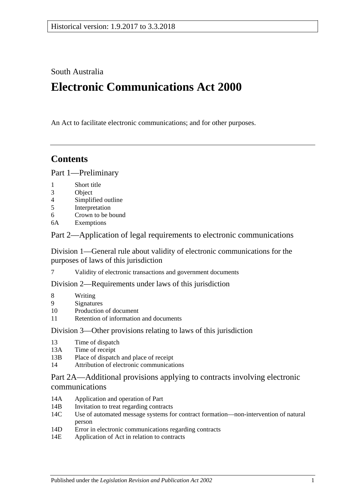South Australia

# **Electronic Communications Act 2000**

An Act to facilitate electronic communications; and for other purposes.

## **Contents**

[Part 1—Preliminary](#page-1-0)

- 1 [Short title](#page-1-1)
- 3 [Object](#page-1-2)
- 4 [Simplified outline](#page-1-3)
- 5 [Interpretation](#page-2-0)
- 6 [Crown to be bound](#page-4-0)
- 6A [Exemptions](#page-5-0)

[Part 2—Application of legal requirements to electronic communications](#page-5-1)

[Division 1—General rule about validity of electronic communications for the](#page-5-2)  [purposes of laws of this jurisdiction](#page-5-2)

7 [Validity of electronic transactions and government documents](#page-5-3)

[Division 2—Requirements under laws of this jurisdiction](#page-5-4)

- 8 [Writing](#page-5-5)
- 9 [Signatures](#page-7-0)
- 10 [Production of document](#page-8-0)
- 11 [Retention of information and documents](#page-9-0)

[Division 3—Other provisions relating to laws of this jurisdiction](#page-10-0)

- 13 [Time of dispatch](#page-10-1)
- 13A [Time of receipt](#page-11-0)
- 13B [Place of dispatch and place of receipt](#page-11-1)
- 14 [Attribution of electronic communications](#page-12-0)

### [Part 2A—Additional provisions applying to contracts involving electronic](#page-12-1)  [communications](#page-12-1)

- 14A [Application and operation of Part](#page-12-2)
- 14B [Invitation to treat regarding contracts](#page-13-0)
- 14C [Use of automated message systems for contract formation—non-intervention of natural](#page-13-1)  [person](#page-13-1)
- 14D [Error in electronic communications regarding contracts](#page-13-2)
- 14E [Application of Act in relation to contracts](#page-14-0)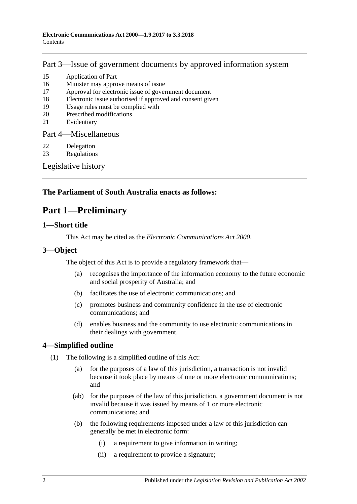## [Part 3—Issue of government documents by approved information system](#page-14-1)

- 15 [Application of Part](#page-14-2)
- 16 [Minister may approve means of issue](#page-15-0)
- 17 [Approval for electronic issue of government document](#page-15-1)
- 18 [Electronic issue authorised if approved and consent given](#page-15-2)
- 19 [Usage rules must be complied with](#page-16-0)
- 20 [Prescribed modifications](#page-16-1)
- 21 [Evidentiary](#page-16-2)

[Part 4—Miscellaneous](#page-16-3)

- 22 [Delegation](#page-16-4)
- 23 [Regulations](#page-16-5)

[Legislative history](#page-18-0)

## <span id="page-1-0"></span>**The Parliament of South Australia enacts as follows:**

## **Part 1—Preliminary**

### <span id="page-1-1"></span>**1—Short title**

This Act may be cited as the *Electronic Communications Act 2000*.

## <span id="page-1-2"></span>**3—Object**

The object of this Act is to provide a regulatory framework that—

- (a) recognises the importance of the information economy to the future economic and social prosperity of Australia; and
- (b) facilitates the use of electronic communications; and
- (c) promotes business and community confidence in the use of electronic communications; and
- (d) enables business and the community to use electronic communications in their dealings with government.

## <span id="page-1-3"></span>**4—Simplified outline**

- (1) The following is a simplified outline of this Act:
	- (a) for the purposes of a law of this jurisdiction, a transaction is not invalid because it took place by means of one or more electronic communications; and
	- (ab) for the purposes of the law of this jurisdiction, a government document is not invalid because it was issued by means of 1 or more electronic communications; and
	- (b) the following requirements imposed under a law of this jurisdiction can generally be met in electronic form:
		- (i) a requirement to give information in writing;
		- (ii) a requirement to provide a signature;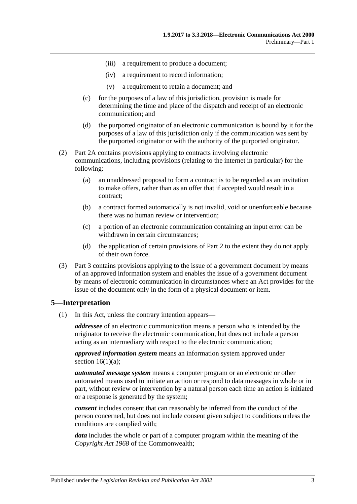- (iii) a requirement to produce a document;
- (iv) a requirement to record information;
- (v) a requirement to retain a document; and
- (c) for the purposes of a law of this jurisdiction, provision is made for determining the time and place of the dispatch and receipt of an electronic communication; and
- (d) the purported originator of an electronic communication is bound by it for the purposes of a law of this jurisdiction only if the communication was sent by the purported originator or with the authority of the purported originator.
- (2) [Part 2A](#page-12-1) contains provisions applying to contracts involving electronic communications, including provisions (relating to the internet in particular) for the following:
	- (a) an unaddressed proposal to form a contract is to be regarded as an invitation to make offers, rather than as an offer that if accepted would result in a contract;
	- (b) a contract formed automatically is not invalid, void or unenforceable because there was no human review or intervention;
	- (c) a portion of an electronic communication containing an input error can be withdrawn in certain circumstances;
	- (d) the application of certain provisions of [Part 2](#page-5-1) to the extent they do not apply of their own force.
- (3) [Part 3](#page-14-1) contains provisions applying to the issue of a government document by means of an approved information system and enables the issue of a government document by means of electronic communication in circumstances where an Act provides for the issue of the document only in the form of a physical document or item.

#### <span id="page-2-0"></span>**5—Interpretation**

(1) In this Act, unless the contrary intention appears—

*addressee* of an electronic communication means a person who is intended by the originator to receive the electronic communication, but does not include a person acting as an intermediary with respect to the electronic communication;

*approved information system* means an information system approved under section  $16(1)(a)$ ;

*automated message system* means a computer program or an electronic or other automated means used to initiate an action or respond to data messages in whole or in part, without review or intervention by a natural person each time an action is initiated or a response is generated by the system;

*consent* includes consent that can reasonably be inferred from the conduct of the person concerned, but does not include consent given subject to conditions unless the conditions are complied with;

*data* includes the whole or part of a computer program within the meaning of the *Copyright Act 1968* of the Commonwealth;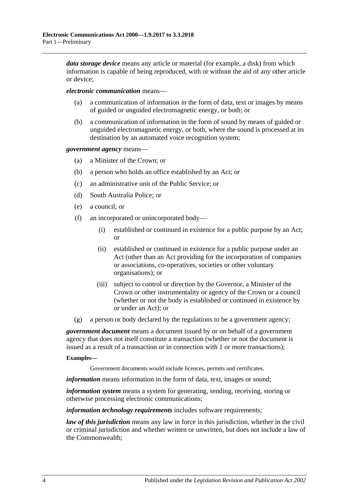*data storage device* means any article or material (for example, a disk) from which information is capable of being reproduced, with or without the aid of any other article or device;

*electronic communication* means—

- a communication of information in the form of data, text or images by means of guided or unguided electromagnetic energy, or both; or
- (b) a communication of information in the form of sound by means of guided or unguided electromagnetic energy, or both, where the sound is processed at its destination by an automated voice recognition system;

*government agency* means—

- (a) a Minister of the Crown; or
- (b) a person who holds an office established by an Act; or
- (c) an administrative unit of the Public Service; or
- (d) South Australia Police; or
- (e) a council; or
- (f) an incorporated or unincorporated body—
	- (i) established or continued in existence for a public purpose by an Act; or
	- (ii) established or continued in existence for a public purpose under an Act (other than an Act providing for the incorporation of companies or associations, co-operatives, societies or other voluntary organisations); or
	- (iii) subject to control or direction by the Governor, a Minister of the Crown or other instrumentality or agency of the Crown or a council (whether or not the body is established or continued in existence by or under an Act); or
- (g) a person or body declared by the regulations to be a government agency;

*government document* means a document issued by or on behalf of a government agency that does not itself constitute a transaction (whether or not the document is issued as a result of a transaction or in connection with 1 or more transactions);

#### **Examples—**

Government documents would include licences, permits and certificates.

*information* means information in the form of data, text, images or sound;

*information system* means a system for generating, sending, receiving, storing or otherwise processing electronic communications;

*information technology requirements* includes software requirements;

*law of this jurisdiction* means any law in force in this jurisdiction, whether in the civil or criminal jurisdiction and whether written or unwritten, but does not include a law of the Commonwealth;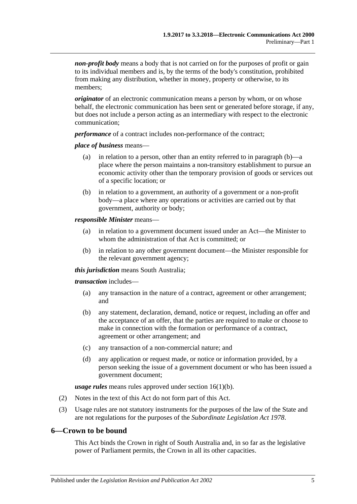*non-profit body* means a body that is not carried on for the purposes of profit or gain to its individual members and is, by the terms of the body's constitution, prohibited from making any distribution, whether in money, property or otherwise, to its members;

*originator* of an electronic communication means a person by whom, or on whose behalf, the electronic communication has been sent or generated before storage, if any, but does not include a person acting as an intermediary with respect to the electronic communication;

*performance* of a contract includes non-performance of the contract;

#### *place of business* means—

- (a) in relation to a person, other than an entity referred to in [paragraph](#page-4-1) (b)—a place where the person maintains a non-transitory establishment to pursue an economic activity other than the temporary provision of goods or services out of a specific location; or
- <span id="page-4-1"></span>(b) in relation to a government, an authority of a government or a non-profit body—a place where any operations or activities are carried out by that government, authority or body;

#### *responsible Minister* means—

- (a) in relation to a government document issued under an Act—the Minister to whom the administration of that Act is committed; or
- (b) in relation to any other government document—the Minister responsible for the relevant government agency;

#### *this jurisdiction* means South Australia;

#### *transaction* includes—

- (a) any transaction in the nature of a contract, agreement or other arrangement; and
- (b) any statement, declaration, demand, notice or request, including an offer and the acceptance of an offer, that the parties are required to make or choose to make in connection with the formation or performance of a contract, agreement or other arrangement; and
- (c) any transaction of a non-commercial nature; and
- (d) any application or request made, or notice or information provided, by a person seeking the issue of a government document or who has been issued a government document;

*usage rules* means rules approved under section [16\(1\)\(b\).](#page-15-4)

- (2) Notes in the text of this Act do not form part of this Act.
- (3) Usage rules are not statutory instruments for the purposes of the law of the State and are not regulations for the purposes of the *[Subordinate Legislation Act](http://www.legislation.sa.gov.au/index.aspx?action=legref&type=act&legtitle=Subordinate%20Legislation%20Act%201978) 1978*.

#### <span id="page-4-0"></span>**6—Crown to be bound**

This Act binds the Crown in right of South Australia and, in so far as the legislative power of Parliament permits, the Crown in all its other capacities.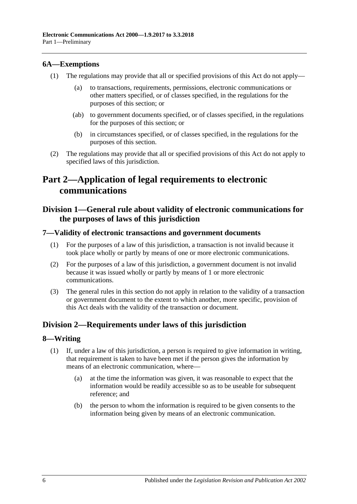#### <span id="page-5-0"></span>**6A—Exemptions**

- (1) The regulations may provide that all or specified provisions of this Act do not apply
	- to transactions, requirements, permissions, electronic communications or other matters specified, or of classes specified, in the regulations for the purposes of this section; or
	- (ab) to government documents specified, or of classes specified, in the regulations for the purposes of this section; or
	- (b) in circumstances specified, or of classes specified, in the regulations for the purposes of this section.
- (2) The regulations may provide that all or specified provisions of this Act do not apply to specified laws of this jurisdiction.

## <span id="page-5-1"></span>**Part 2—Application of legal requirements to electronic communications**

## <span id="page-5-2"></span>**Division 1—General rule about validity of electronic communications for the purposes of laws of this jurisdiction**

#### <span id="page-5-3"></span>**7—Validity of electronic transactions and government documents**

- (1) For the purposes of a law of this jurisdiction, a transaction is not invalid because it took place wholly or partly by means of one or more electronic communications.
- (2) For the purposes of a law of this jurisdiction, a government document is not invalid because it was issued wholly or partly by means of 1 or more electronic communications.
- (3) The general rules in this section do not apply in relation to the validity of a transaction or government document to the extent to which another, more specific, provision of this Act deals with the validity of the transaction or document.

## <span id="page-5-4"></span>**Division 2—Requirements under laws of this jurisdiction**

#### <span id="page-5-5"></span>**8—Writing**

- <span id="page-5-6"></span>(1) If, under a law of this jurisdiction, a person is required to give information in writing, that requirement is taken to have been met if the person gives the information by means of an electronic communication, where—
	- (a) at the time the information was given, it was reasonable to expect that the information would be readily accessible so as to be useable for subsequent reference; and
	- (b) the person to whom the information is required to be given consents to the information being given by means of an electronic communication.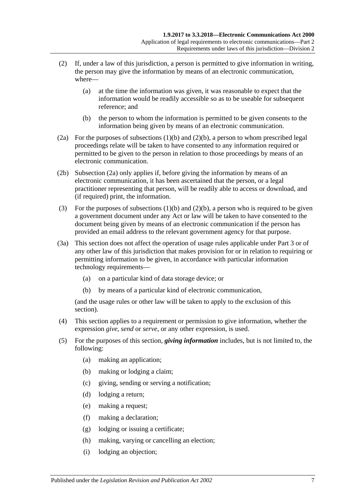- (2) If, under a law of this jurisdiction, a person is permitted to give information in writing, the person may give the information by means of an electronic communication, where—
	- (a) at the time the information was given, it was reasonable to expect that the information would be readily accessible so as to be useable for subsequent reference; and
	- (b) the person to whom the information is permitted to be given consents to the information being given by means of an electronic communication.
- <span id="page-6-1"></span><span id="page-6-0"></span>(2a) For the purposes of [subsections](#page-5-6) (1)(b) and [\(2\)\(b\),](#page-6-0) a person to whom prescribed legal proceedings relate will be taken to have consented to any information required or permitted to be given to the person in relation to those proceedings by means of an electronic communication.
- (2b) [Subsection \(2a\)](#page-6-1) only applies if, before giving the information by means of an electronic communication, it has been ascertained that the person, or a legal practitioner representing that person, will be readily able to access or download, and (if required) print, the information.
- (3) For the purposes of [subsections](#page-5-6)  $(1)(b)$  and  $(2)(b)$ , a person who is required to be given a government document under any Act or law will be taken to have consented to the document being given by means of an electronic communication if the person has provided an email address to the relevant government agency for that purpose.
- (3a) This section does not affect the operation of usage rules applicable under [Part 3](#page-14-1) or of any other law of this jurisdiction that makes provision for or in relation to requiring or permitting information to be given, in accordance with particular information technology requirements—
	- (a) on a particular kind of data storage device; or
	- (b) by means of a particular kind of electronic communication,

(and the usage rules or other law will be taken to apply to the exclusion of this section).

- (4) This section applies to a requirement or permission to give information, whether the expression *give*, *send* or *serve*, or any other expression, is used.
- (5) For the purposes of this section, *giving information* includes, but is not limited to, the following:
	- (a) making an application;
	- (b) making or lodging a claim;
	- (c) giving, sending or serving a notification;
	- (d) lodging a return;
	- (e) making a request;
	- (f) making a declaration;
	- (g) lodging or issuing a certificate;
	- (h) making, varying or cancelling an election;
	- (i) lodging an objection;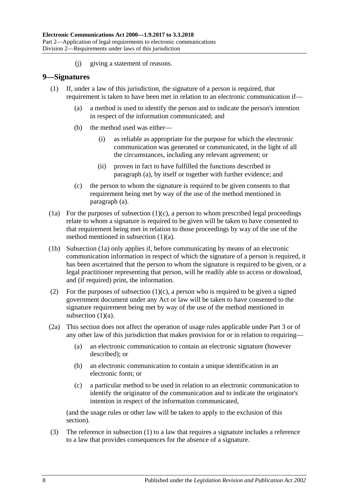(j) giving a statement of reasons.

#### <span id="page-7-4"></span><span id="page-7-0"></span>**9—Signatures**

- <span id="page-7-1"></span>(1) If, under a law of this jurisdiction, the signature of a person is required, that requirement is taken to have been met in relation to an electronic communication if—
	- (a) a method is used to identify the person and to indicate the person's intention in respect of the information communicated; and
	- (b) the method used was either—
		- (i) as reliable as appropriate for the purpose for which the electronic communication was generated or communicated, in the light of all the circumstances, including any relevant agreement; or
		- (ii) proven in fact to have fulfilled the functions described in [paragraph](#page-7-1) (a), by itself or together with further evidence; and
	- (c) the person to whom the signature is required to be given consents to that requirement being met by way of the use of the method mentioned in [paragraph](#page-7-1) (a).
- <span id="page-7-3"></span><span id="page-7-2"></span>(1a) For the purposes of [subsection](#page-7-2)  $(1)(c)$ , a person to whom prescribed legal proceedings relate to whom a signature is required to be given will be taken to have consented to that requirement being met in relation to those proceedings by way of the use of the method mentioned in [subsection](#page-7-1) (1)(a).
- (1b) [Subsection \(1a\)](#page-7-3) only applies if, before communicating by means of an electronic communication information in respect of which the signature of a person is required, it has been ascertained that the person to whom the signature is required to be given, or a legal practitioner representing that person, will be readily able to access or download, and (if required) print, the information.
- (2) For the purposes of [subsection](#page-7-2)  $(1)(c)$ , a person who is required to be given a signed government document under any Act or law will be taken to have consented to the signature requirement being met by way of the use of the method mentioned in [subsection](#page-7-1)  $(1)(a)$ .
- (2a) This section does not affect the operation of usage rules applicable under [Part 3](#page-14-1) or of any other law of this jurisdiction that makes provision for or in relation to requiring—
	- (a) an electronic communication to contain an electronic signature (however described); or
	- (b) an electronic communication to contain a unique identification in an electronic form; or
	- (c) a particular method to be used in relation to an electronic communication to identify the originator of the communication and to indicate the originator's intention in respect of the information communicated,

(and the usage rules or other law will be taken to apply to the exclusion of this section).

(3) The reference in [subsection](#page-7-4) (1) to a law that requires a signature includes a reference to a law that provides consequences for the absence of a signature.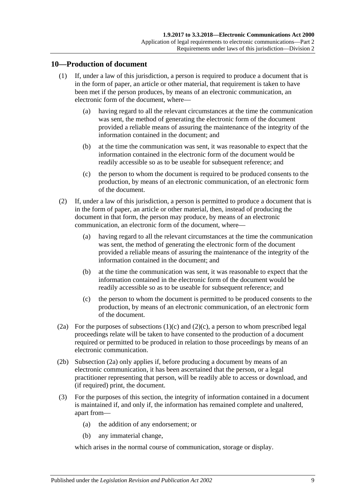### <span id="page-8-0"></span>**10—Production of document**

- (1) If, under a law of this jurisdiction, a person is required to produce a document that is in the form of paper, an article or other material, that requirement is taken to have been met if the person produces, by means of an electronic communication, an electronic form of the document, where—
	- (a) having regard to all the relevant circumstances at the time the communication was sent, the method of generating the electronic form of the document provided a reliable means of assuring the maintenance of the integrity of the information contained in the document; and
	- (b) at the time the communication was sent, it was reasonable to expect that the information contained in the electronic form of the document would be readily accessible so as to be useable for subsequent reference; and
	- (c) the person to whom the document is required to be produced consents to the production, by means of an electronic communication, of an electronic form of the document.
- <span id="page-8-1"></span>(2) If, under a law of this jurisdiction, a person is permitted to produce a document that is in the form of paper, an article or other material, then, instead of producing the document in that form, the person may produce, by means of an electronic communication, an electronic form of the document, where—
	- (a) having regard to all the relevant circumstances at the time the communication was sent, the method of generating the electronic form of the document provided a reliable means of assuring the maintenance of the integrity of the information contained in the document; and
	- (b) at the time the communication was sent, it was reasonable to expect that the information contained in the electronic form of the document would be readily accessible so as to be useable for subsequent reference; and
	- (c) the person to whom the document is permitted to be produced consents to the production, by means of an electronic communication, of an electronic form of the document.
- <span id="page-8-3"></span><span id="page-8-2"></span>(2a) For the purposes of [subsections](#page-8-1)  $(1)(c)$  and  $(2)(c)$ , a person to whom prescribed legal proceedings relate will be taken to have consented to the production of a document required or permitted to be produced in relation to those proceedings by means of an electronic communication.
- (2b) [Subsection \(2a\)](#page-8-3) only applies if, before producing a document by means of an electronic communication, it has been ascertained that the person, or a legal practitioner representing that person, will be readily able to access or download, and (if required) print, the document.
- (3) For the purposes of this section, the integrity of information contained in a document is maintained if, and only if, the information has remained complete and unaltered, apart from—
	- (a) the addition of any endorsement; or
	- (b) any immaterial change,

which arises in the normal course of communication, storage or display.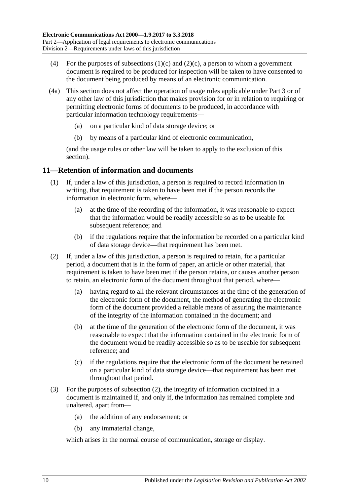- (4) For the purposes of [subsections](#page-8-1)  $(1)(c)$  and  $(2)(c)$ , a person to whom a government document is required to be produced for inspection will be taken to have consented to the document being produced by means of an electronic communication.
- (4a) This section does not affect the operation of usage rules applicable under [Part 3](#page-14-1) or of any other law of this jurisdiction that makes provision for or in relation to requiring or permitting electronic forms of documents to be produced, in accordance with particular information technology requirements—
	- (a) on a particular kind of data storage device; or
	- (b) by means of a particular kind of electronic communication,

(and the usage rules or other law will be taken to apply to the exclusion of this section).

## <span id="page-9-0"></span>**11—Retention of information and documents**

- (1) If, under a law of this jurisdiction, a person is required to record information in writing, that requirement is taken to have been met if the person records the information in electronic form, where—
	- (a) at the time of the recording of the information, it was reasonable to expect that the information would be readily accessible so as to be useable for subsequent reference; and
	- (b) if the regulations require that the information be recorded on a particular kind of data storage device—that requirement has been met.
- <span id="page-9-1"></span>(2) If, under a law of this jurisdiction, a person is required to retain, for a particular period, a document that is in the form of paper, an article or other material, that requirement is taken to have been met if the person retains, or causes another person to retain, an electronic form of the document throughout that period, where—
	- (a) having regard to all the relevant circumstances at the time of the generation of the electronic form of the document, the method of generating the electronic form of the document provided a reliable means of assuring the maintenance of the integrity of the information contained in the document; and
	- (b) at the time of the generation of the electronic form of the document, it was reasonable to expect that the information contained in the electronic form of the document would be readily accessible so as to be useable for subsequent reference; and
	- (c) if the regulations require that the electronic form of the document be retained on a particular kind of data storage device—that requirement has been met throughout that period.
- (3) For the purposes of [subsection](#page-9-1) (2), the integrity of information contained in a document is maintained if, and only if, the information has remained complete and unaltered, apart from—
	- (a) the addition of any endorsement; or
	- (b) any immaterial change,

which arises in the normal course of communication, storage or display.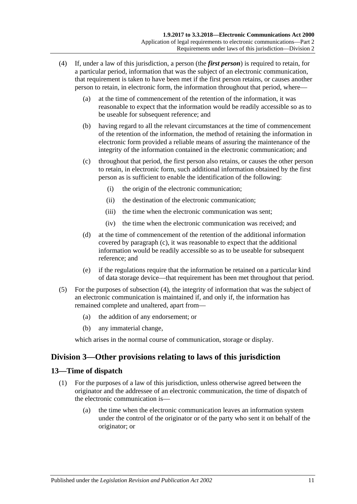- <span id="page-10-3"></span><span id="page-10-2"></span>(4) If, under a law of this jurisdiction, a person (the *first person*) is required to retain, for a particular period, information that was the subject of an electronic communication, that requirement is taken to have been met if the first person retains, or causes another person to retain, in electronic form, the information throughout that period, where—
	- (a) at the time of commencement of the retention of the information, it was reasonable to expect that the information would be readily accessible so as to be useable for subsequent reference; and
	- (b) having regard to all the relevant circumstances at the time of commencement of the retention of the information, the method of retaining the information in electronic form provided a reliable means of assuring the maintenance of the integrity of the information contained in the electronic communication; and
	- (c) throughout that period, the first person also retains, or causes the other person to retain, in electronic form, such additional information obtained by the first person as is sufficient to enable the identification of the following:
		- (i) the origin of the electronic communication;
		- (ii) the destination of the electronic communication;
		- (iii) the time when the electronic communication was sent;
		- (iv) the time when the electronic communication was received; and
	- (d) at the time of commencement of the retention of the additional information covered by [paragraph](#page-10-2) (c), it was reasonable to expect that the additional information would be readily accessible so as to be useable for subsequent reference; and
	- (e) if the regulations require that the information be retained on a particular kind of data storage device—that requirement has been met throughout that period.
- (5) For the purposes of [subsection](#page-10-3) (4), the integrity of information that was the subject of an electronic communication is maintained if, and only if, the information has remained complete and unaltered, apart from—
	- (a) the addition of any endorsement; or
	- (b) any immaterial change,

which arises in the normal course of communication, storage or display.

## <span id="page-10-0"></span>**Division 3—Other provisions relating to laws of this jurisdiction**

#### <span id="page-10-4"></span><span id="page-10-1"></span>**13—Time of dispatch**

- (1) For the purposes of a law of this jurisdiction, unless otherwise agreed between the originator and the addressee of an electronic communication, the time of dispatch of the electronic communication is—
	- (a) the time when the electronic communication leaves an information system under the control of the originator or of the party who sent it on behalf of the originator; or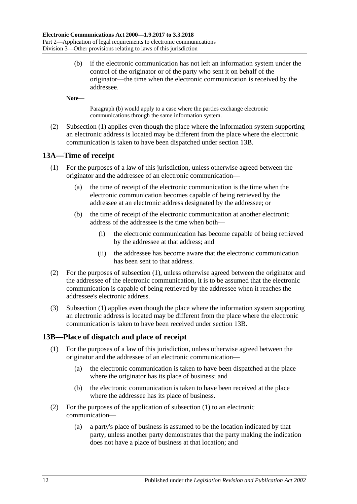<span id="page-11-2"></span>(b) if the electronic communication has not left an information system under the control of the originator or of the party who sent it on behalf of the originator—the time when the electronic communication is received by the addressee.

**Note—**

[Paragraph](#page-11-2) (b) would apply to a case where the parties exchange electronic communications through the same information system.

(2) [Subsection](#page-10-4) (1) applies even though the place where the information system supporting an electronic address is located may be different from the place where the electronic communication is taken to have been dispatched under [section](#page-11-1) 13B.

#### <span id="page-11-3"></span><span id="page-11-0"></span>**13A—Time of receipt**

- (1) For the purposes of a law of this jurisdiction, unless otherwise agreed between the originator and the addressee of an electronic communication—
	- (a) the time of receipt of the electronic communication is the time when the electronic communication becomes capable of being retrieved by the addressee at an electronic address designated by the addressee; or
	- (b) the time of receipt of the electronic communication at another electronic address of the addressee is the time when both—
		- (i) the electronic communication has become capable of being retrieved by the addressee at that address; and
		- (ii) the addressee has become aware that the electronic communication has been sent to that address.
- (2) For the purposes of [subsection](#page-11-3) (1), unless otherwise agreed between the originator and the addressee of the electronic communication, it is to be assumed that the electronic communication is capable of being retrieved by the addressee when it reaches the addressee's electronic address.
- (3) [Subsection](#page-11-3) (1) applies even though the place where the information system supporting an electronic address is located may be different from the place where the electronic communication is taken to have been received under [section](#page-11-1) 13B.

#### <span id="page-11-4"></span><span id="page-11-1"></span>**13B—Place of dispatch and place of receipt**

- (1) For the purposes of a law of this jurisdiction, unless otherwise agreed between the originator and the addressee of an electronic communication—
	- (a) the electronic communication is taken to have been dispatched at the place where the originator has its place of business; and
	- (b) the electronic communication is taken to have been received at the place where the addressee has its place of business.
- (2) For the purposes of the application of [subsection](#page-11-4) (1) to an electronic communication—
	- (a) a party's place of business is assumed to be the location indicated by that party, unless another party demonstrates that the party making the indication does not have a place of business at that location; and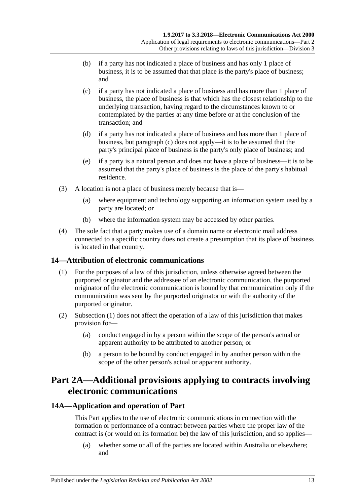- (b) if a party has not indicated a place of business and has only 1 place of business, it is to be assumed that that place is the party's place of business; and
- <span id="page-12-3"></span>(c) if a party has not indicated a place of business and has more than 1 place of business, the place of business is that which has the closest relationship to the underlying transaction, having regard to the circumstances known to or contemplated by the parties at any time before or at the conclusion of the transaction; and
- (d) if a party has not indicated a place of business and has more than 1 place of business, but [paragraph](#page-12-3) (c) does not apply—it is to be assumed that the party's principal place of business is the party's only place of business; and
- (e) if a party is a natural person and does not have a place of business—it is to be assumed that the party's place of business is the place of the party's habitual residence.
- (3) A location is not a place of business merely because that is—
	- (a) where equipment and technology supporting an information system used by a party are located; or
	- (b) where the information system may be accessed by other parties.
- (4) The sole fact that a party makes use of a domain name or electronic mail address connected to a specific country does not create a presumption that its place of business is located in that country.

## <span id="page-12-4"></span><span id="page-12-0"></span>**14—Attribution of electronic communications**

- (1) For the purposes of a law of this jurisdiction, unless otherwise agreed between the purported originator and the addressee of an electronic communication, the purported originator of the electronic communication is bound by that communication only if the communication was sent by the purported originator or with the authority of the purported originator.
- (2) [Subsection](#page-12-4) (1) does not affect the operation of a law of this jurisdiction that makes provision for—
	- (a) conduct engaged in by a person within the scope of the person's actual or apparent authority to be attributed to another person; or
	- (b) a person to be bound by conduct engaged in by another person within the scope of the other person's actual or apparent authority.

## <span id="page-12-1"></span>**Part 2A—Additional provisions applying to contracts involving electronic communications**

## <span id="page-12-2"></span>**14A—Application and operation of Part**

This Part applies to the use of electronic communications in connection with the formation or performance of a contract between parties where the proper law of the contract is (or would on its formation be) the law of this jurisdiction, and so applies—

(a) whether some or all of the parties are located within Australia or elsewhere; and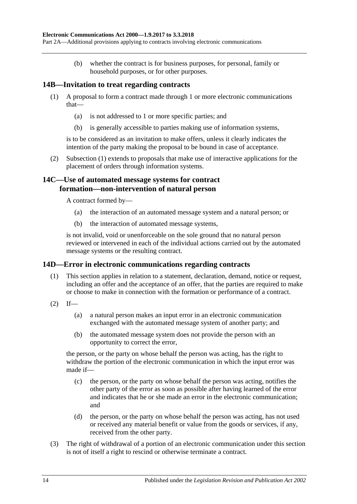(b) whether the contract is for business purposes, for personal, family or household purposes, or for other purposes.

### <span id="page-13-3"></span><span id="page-13-0"></span>**14B—Invitation to treat regarding contracts**

- (1) A proposal to form a contract made through 1 or more electronic communications that—
	- (a) is not addressed to 1 or more specific parties; and
	- (b) is generally accessible to parties making use of information systems,

is to be considered as an invitation to make offers, unless it clearly indicates the intention of the party making the proposal to be bound in case of acceptance.

(2) [Subsection](#page-13-3) (1) extends to proposals that make use of interactive applications for the placement of orders through information systems.

### <span id="page-13-1"></span>**14C—Use of automated message systems for contract formation—non-intervention of natural person**

A contract formed by—

- (a) the interaction of an automated message system and a natural person; or
- (b) the interaction of automated message systems,

is not invalid, void or unenforceable on the sole ground that no natural person reviewed or intervened in each of the individual actions carried out by the automated message systems or the resulting contract.

#### <span id="page-13-2"></span>**14D—Error in electronic communications regarding contracts**

- (1) This section applies in relation to a statement, declaration, demand, notice or request, including an offer and the acceptance of an offer, that the parties are required to make or choose to make in connection with the formation or performance of a contract.
- $(2)$  If—
	- (a) a natural person makes an input error in an electronic communication exchanged with the automated message system of another party; and
	- (b) the automated message system does not provide the person with an opportunity to correct the error,

the person, or the party on whose behalf the person was acting, has the right to withdraw the portion of the electronic communication in which the input error was made if—

- (c) the person, or the party on whose behalf the person was acting, notifies the other party of the error as soon as possible after having learned of the error and indicates that he or she made an error in the electronic communication; and
- (d) the person, or the party on whose behalf the person was acting, has not used or received any material benefit or value from the goods or services, if any, received from the other party.
- (3) The right of withdrawal of a portion of an electronic communication under this section is not of itself a right to rescind or otherwise terminate a contract.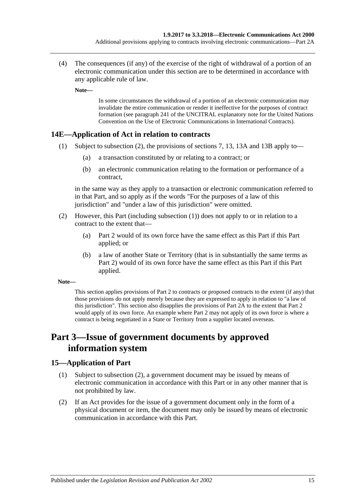(4) The consequences (if any) of the exercise of the right of withdrawal of a portion of an electronic communication under this section are to be determined in accordance with any applicable rule of law.

**Note—**

In some circumstances the withdrawal of a portion of an electronic communication may invalidate the entire communication or render it ineffective for the purposes of contract formation (see paragraph 241 of the UNCITRAL explanatory note for the United Nations Convention on the Use of Electronic Communications in International Contracts).

### <span id="page-14-4"></span><span id="page-14-0"></span>**14E—Application of Act in relation to contracts**

- (1) Subject to [subsection](#page-14-3) (2), the provisions of [sections](#page-5-3) 7, [13,](#page-10-1) [13A](#page-11-0) and [13B](#page-11-1) apply to—
	- (a) a transaction constituted by or relating to a contract; or
	- (b) an electronic communication relating to the formation or performance of a contract,

in the same way as they apply to a transaction or electronic communication referred to in that Part, and so apply as if the words "For the purposes of a law of this jurisdiction" and "under a law of this jurisdiction" were omitted.

- <span id="page-14-3"></span>(2) However, this Part (including [subsection](#page-14-4) (1)) does not apply to or in relation to a contract to the extent that—
	- (a) [Part 2](#page-5-1) would of its own force have the same effect as this Part if this Part applied; or
	- (b) a law of another State or Territory (that is in substantially the same terms as [Part 2\)](#page-5-1) would of its own force have the same effect as this Part if this Part applied.

#### **Note—**

This section applies provisions o[f Part 2](#page-5-1) to contracts or proposed contracts to the extent (if any) that those provisions do not apply merely because they are expressed to apply in relation to "a law of this jurisdiction". This section also disapplies the provisions of [Part](#page-12-1) 2A to the extent that [Part 2](#page-5-1) would apply of its own force. An example where [Part 2](#page-5-1) may not apply of its own force is where a contract is being negotiated in a State or Territory from a supplier located overseas.

## <span id="page-14-1"></span>**Part 3—Issue of government documents by approved information system**

#### <span id="page-14-2"></span>**15—Application of Part**

- (1) Subject to [subsection](#page-14-5) (2), a government document may be issued by means of electronic communication in accordance with this Part or in any other manner that is not prohibited by law.
- <span id="page-14-5"></span>(2) If an Act provides for the issue of a government document only in the form of a physical document or item, the document may only be issued by means of electronic communication in accordance with this Part.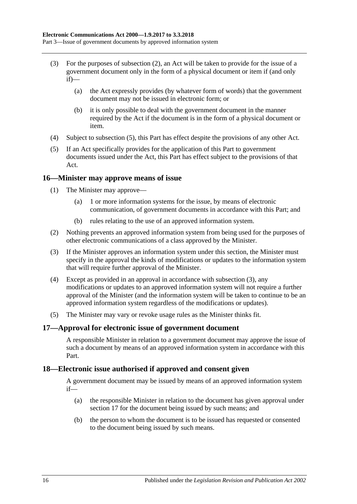- (3) For the purposes of [subsection](#page-14-5) (2), an Act will be taken to provide for the issue of a government document only in the form of a physical document or item if (and only  $if)$ —
	- (a) the Act expressly provides (by whatever form of words) that the government document may not be issued in electronic form; or
	- (b) it is only possible to deal with the government document in the manner required by the Act if the document is in the form of a physical document or item.
- (4) Subject to [subsection](#page-15-5) (5), this Part has effect despite the provisions of any other Act.
- <span id="page-15-5"></span>(5) If an Act specifically provides for the application of this Part to government documents issued under the Act, this Part has effect subject to the provisions of that Act.

#### <span id="page-15-0"></span>**16—Minister may approve means of issue**

- <span id="page-15-3"></span>(1) The Minister may approve—
	- (a) 1 or more information systems for the issue, by means of electronic communication, of government documents in accordance with this Part; and
	- (b) rules relating to the use of an approved information system.
- <span id="page-15-4"></span>(2) Nothing prevents an approved information system from being used for the purposes of other electronic communications of a class approved by the Minister.
- <span id="page-15-6"></span>(3) If the Minister approves an information system under this section, the Minister must specify in the approval the kinds of modifications or updates to the information system that will require further approval of the Minister.
- (4) Except as provided in an approval in accordance with [subsection](#page-15-6) (3), any modifications or updates to an approved information system will not require a further approval of the Minister (and the information system will be taken to continue to be an approved information system regardless of the modifications or updates).
- (5) The Minister may vary or revoke usage rules as the Minister thinks fit.

#### <span id="page-15-1"></span>**17—Approval for electronic issue of government document**

A responsible Minister in relation to a government document may approve the issue of such a document by means of an approved information system in accordance with this Part.

#### <span id="page-15-2"></span>**18—Electronic issue authorised if approved and consent given**

A government document may be issued by means of an approved information system if—

- (a) the responsible Minister in relation to the document has given approval under [section](#page-15-1) 17 for the document being issued by such means; and
- (b) the person to whom the document is to be issued has requested or consented to the document being issued by such means.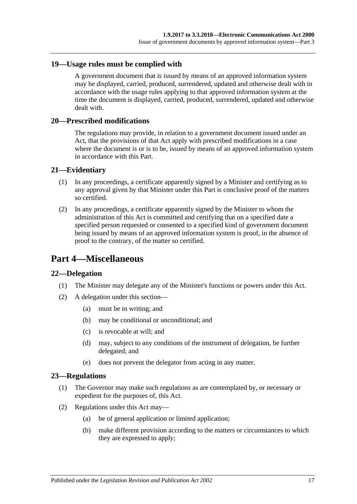#### <span id="page-16-0"></span>**19—Usage rules must be complied with**

A government document that is issued by means of an approved information system may be displayed, carried, produced, surrendered, updated and otherwise dealt with in accordance with the usage rules applying to that approved information system at the time the document is displayed, carried, produced, surrendered, updated and otherwise dealt with.

#### <span id="page-16-1"></span>**20—Prescribed modifications**

The regulations may provide, in relation to a government document issued under an Act, that the provisions of that Act apply with prescribed modifications in a case where the document is or is to be, issued by means of an approved information system in accordance with this Part.

#### <span id="page-16-2"></span>**21—Evidentiary**

- (1) In any proceedings, a certificate apparently signed by a Minister and certifying as to any approval given by that Minister under this Part is conclusive proof of the matters so certified.
- (2) In any proceedings, a certificate apparently signed by the Minister to whom the administration of this Act is committed and certifying that on a specified date a specified person requested or consented to a specified kind of government document being issued by means of an approved information system is proof, in the absence of proof to the contrary, of the matter so certified.

## <span id="page-16-3"></span>**Part 4—Miscellaneous**

#### <span id="page-16-4"></span>**22—Delegation**

- (1) The Minister may delegate any of the Minister's functions or powers under this Act.
- (2) A delegation under this section—
	- (a) must be in writing; and
	- (b) may be conditional or unconditional; and
	- (c) is revocable at will; and
	- (d) may, subject to any conditions of the instrument of delegation, be further delegated; and
	- (e) does not prevent the delegator from acting in any matter.

#### <span id="page-16-5"></span>**23—Regulations**

- (1) The Governor may make such regulations as are contemplated by, or necessary or expedient for the purposes of, this Act.
- (2) Regulations under this Act may—
	- (a) be of general application or limited application;
	- (b) make different provision according to the matters or circumstances to which they are expressed to apply;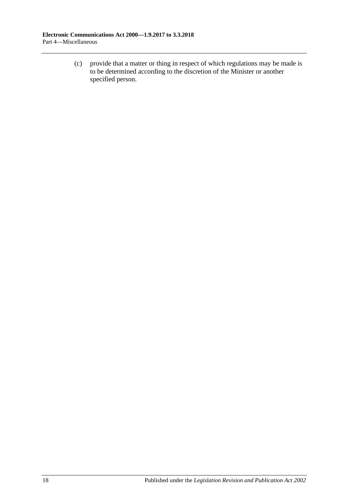(c) provide that a matter or thing in respect of which regulations may be made is to be determined according to the discretion of the Minister or another specified person.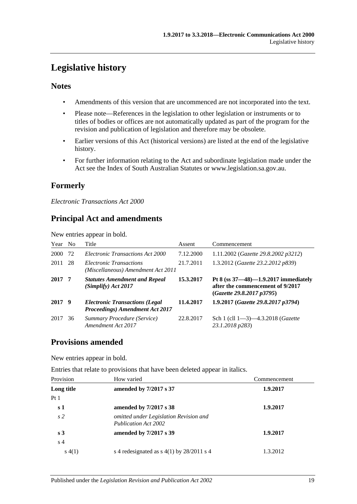## <span id="page-18-0"></span>**Legislative history**

### **Notes**

- Amendments of this version that are uncommenced are not incorporated into the text.
- Please note—References in the legislation to other legislation or instruments or to titles of bodies or offices are not automatically updated as part of the program for the revision and publication of legislation and therefore may be obsolete.
- Earlier versions of this Act (historical versions) are listed at the end of the legislative history.
- For further information relating to the Act and subordinate legislation made under the Act see the Index of South Australian Statutes or www.legislation.sa.gov.au.

## **Formerly**

*Electronic Transactions Act 2000*

## **Principal Act and amendments**

New entries appear in bold.

| Year No |    | Title                                                                    | Assent    | Commencement                                                                                             |
|---------|----|--------------------------------------------------------------------------|-----------|----------------------------------------------------------------------------------------------------------|
| 2000    | 72 | Electronic Transactions Act 2000                                         | 7.12.2000 | 1.11.2002 (Gazette 29.8.2002 p3212)                                                                      |
| 2011    | 28 | Electronic Transactions<br>(Miscellaneous) Amendment Act 2011            | 21.7.2011 | 1.3.2012 (Gazette 23.2.2012 p839)                                                                        |
| 2017 7  |    | <b>Statutes Amendment and Repeal</b><br>(Simplify) Act 2017              | 15.3.2017 | Pt 8 (ss $37-48$ )-1.9.2017 immediately<br>after the commencement of 9/2017<br>(Gazette 29.8.2017 p3795) |
| 2017 9  |    | <b>Electronic Transactions (Legal</b><br>Proceedings) Amendment Act 2017 | 11.4.2017 | 1.9.2017 (Gazette 29.8.2017 p3794)                                                                       |
| 2017    | 36 | Summary Procedure (Service)<br>Amendment Act 2017                        | 22.8.2017 | Sch 1 (cll $1-3$ ) $-4.3.2018$ ( <i>Gazette</i><br>23.1.2018 p283)                                       |

## **Provisions amended**

New entries appear in bold.

Entries that relate to provisions that have been deleted appear in italics.

| Provision      | How varied                                                     | Commencement |
|----------------|----------------------------------------------------------------|--------------|
| Long title     | amended by 7/2017 s 37                                         | 1.9.2017     |
| Pt1            |                                                                |              |
| s <sub>1</sub> | amended by 7/2017 s 38                                         | 1.9.2017     |
| s <sub>2</sub> | omitted under Legislation Revision and<br>Publication Act 2002 |              |
| s <sub>3</sub> | amended by 7/2017 s 39                                         | 1.9.2017     |
| s <sub>4</sub> |                                                                |              |
| s(4(1))        | s 4 redesignated as $s$ 4(1) by 28/2011 s 4                    | 1.3.2012     |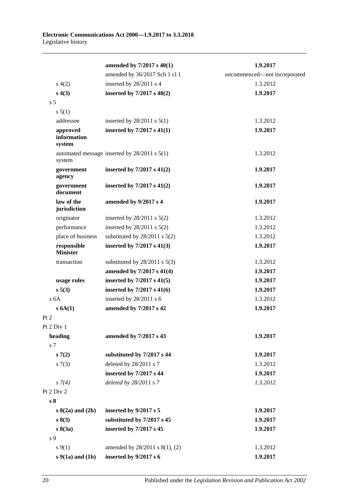|                                   | amended by 7/2017 s 40(1)                        | 1.9.2017                     |
|-----------------------------------|--------------------------------------------------|------------------------------|
|                                   | amended by 36/2017 Sch 1 cl 1                    | uncommenced-not incorporated |
| s(4(2)                            | inserted by 28/2011 s 4                          | 1.3.2012                     |
| s(4(3))                           | inserted by $7/2017$ s $40(2)$                   | 1.9.2017                     |
| s <sub>5</sub>                    |                                                  |                              |
| s 5(1)                            |                                                  |                              |
| addressee                         | inserted by $28/2011$ s $5(1)$                   | 1.3.2012                     |
| approved<br>information<br>system | inserted by $7/2017$ s $41(1)$                   | 1.9.2017                     |
| system                            | automated message inserted by $28/2011$ s $5(1)$ | 1.3.2012                     |
| government<br>agency              | inserted by $7/2017$ s $41(2)$                   | 1.9.2017                     |
| government<br>document            | inserted by $7/2017$ s $41(2)$                   | 1.9.2017                     |
| law of the<br>jurisdiction        | amended by 9/2017 s 4                            | 1.9.2017                     |
| originator                        | inserted by $28/2011$ s $5(2)$                   | 1.3.2012                     |
| performance                       | inserted by $28/2011$ s $5(2)$                   | 1.3.2012                     |
| place of business                 | substituted by $28/2011$ s $5(2)$                | 1.3.2012                     |
| responsible<br><b>Minister</b>    | inserted by $7/2017$ s $41(3)$                   | 1.9.2017                     |
| transaction                       | substituted by $28/2011$ s $5(3)$                | 1.3.2012                     |
|                                   | amended by 7/2017 s 41(4)                        | 1.9.2017                     |
| usage rules                       | inserted by $7/2017$ s $41(5)$                   | 1.9.2017                     |
| s 5(3)                            | inserted by $7/2017$ s $41(6)$                   | 1.9.2017                     |
| s <sub>6A</sub>                   | inserted by 28/2011 s 6                          | 1.3.2012                     |
| $s$ 6A(1)                         | amended by 7/2017 s 42                           | 1.9.2017                     |
| Pt 2                              |                                                  |                              |
| Pt 2 Div 1                        |                                                  |                              |
| heading                           | amended by 7/2017 s 43                           | 1.9.2017                     |
| s 7                               |                                                  |                              |
| s(7(2)                            | substituted by 7/2017 s 44                       | 1.9.2017                     |
| $s \, 7(3)$                       | deleted by 28/2011 s 7                           | 1.3.2012                     |
|                                   | inserted by 7/2017 s 44                          | 1.9.2017                     |
| $s \, 7(4)$                       | deleted by 28/2011 s 7                           | 1.3.2012                     |
| Pt $2$ Div $2$                    |                                                  |                              |
| s <sub>8</sub>                    |                                                  |                              |
| $s(2a)$ and $(2b)$                | inserted by 9/2017 s 5                           | 1.9.2017                     |
| s(3)                              | substituted by 7/2017 s 45                       | 1.9.2017                     |
| $s\,8(3a)$                        | inserted by 7/2017 s 45                          | 1.9.2017                     |
| s 9                               |                                                  |                              |
| $s \, 9(1)$                       | amended by 28/2011 s 8(1), (2)                   | 1.3.2012                     |
| $s$ 9(1a) and (1b)                | inserted by $9/2017 s 6$                         | 1.9.2017                     |